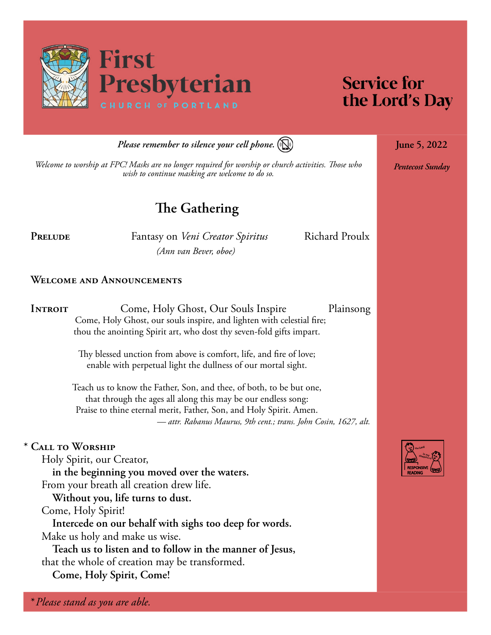

# **Service for** the Lord's Day

**June 5, 2022**

*Pentecost Sunday*

*Please remember to silence your cell phone.*

*Welcome to worship at FPC! Masks are no longer required for worship or church activities. Those who wish to continue masking are welcome to do so.*

# **The Gathering**

PRELUDE **Fantasy on** *Veni Creator Spiritus* Richard Proulx *(Ann van Bever, oboe)*

#### **Welcome and Announcements**

**INTROIT** Come, Holy Ghost, Our Souls Inspire Plainsong Come, Holy Ghost, our souls inspire, and lighten with celestial fire; thou the anointing Spirit art, who dost thy seven-fold gifts impart.

> Thy blessed unction from above is comfort, life, and fire of love; enable with perpetual light the dullness of our mortal sight.

Teach us to know the Father, Son, and thee, of both, to be but one, that through the ages all along this may be our endless song: Praise to thine eternal merit, Father, Son, and Holy Spirit. Amen. *— attr. Rabanus Maurus, 9th cent.; trans. John Cosin, 1627, alt.*

#### **\* Call to Worship**

Holy Spirit, our Creator, **in the beginning you moved over the waters.** From your breath all creation drew life.

**Without you, life turns to dust.**

Come, Holy Spirit!

**Intercede on our behalf with sighs too deep for words.** Make us holy and make us wise.

**Teach us to listen and to follow in the manner of Jesus,**  that the whole of creation may be transformed.

**Come, Holy Spirit, Come!**

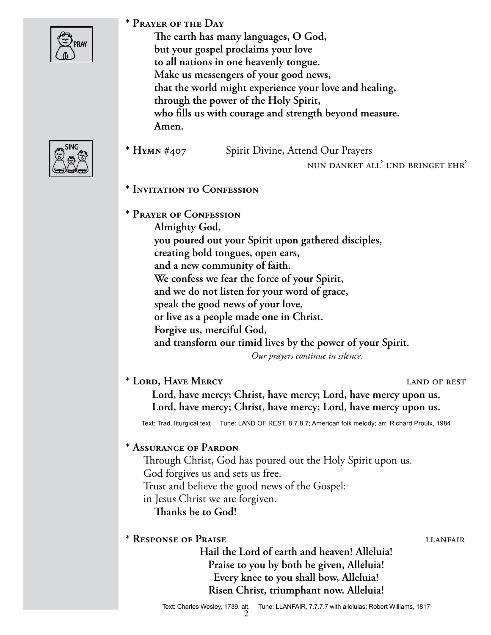

**\* Prayer of the Day** 

**The earth has many languages, O God, but your gospel proclaims your love to all nations in one heavenly tongue. Make us messengers of your good news, that the world might experience your love and healing, through the power of the Holy Spirit, who fills us with courage and strength beyond measure. Amen.**



**\* Hymn #407** Spirit Divine, Attend Our Prayers

nun danket all' und bringet ehr'

- **\* Invitation to Confession**
- **\* Prayer of Confession**

**Almighty God, you poured out your Spirit upon gathered disciples, creating bold tongues, open ears, and a new community of faith. We confess we fear the force of your Spirit, and we do not listen for your word of grace, speak the good news of your love, or live as a people made one in Christ. Forgive us, merciful God, and transform our timid lives by the power of your Spirit.**  *Our prayers continue in silence.*

### **\* Lord, Have Mercy** land of rest

**Lord, have mercy; Christ, have mercy; Lord, have mercy upon us. Lord, have mercy; Christ, have mercy; Lord, have mercy upon us.**

Text: Trad. liturgical text Tune: LAND OF REST, 8.7.8.7; American folk melody; arr. Richard Proulx, 1984

#### **\* Assurance of Pardon**

Through Christ, God has poured out the Holy Spirit upon us. God forgives us and sets us free. Trust and believe the good news of the Gospel: in Jesus Christ we are forgiven. **Thanks be to God!**

#### \* Response of Praise **letters** and the literature literature is  $\mu$

**Hail the Lord of earth and heaven! Alleluia! Praise to you by both be given, Alleluia! Every knee to you shall bow, Alleluia! Risen Christ, triumphant now. Alleluia!**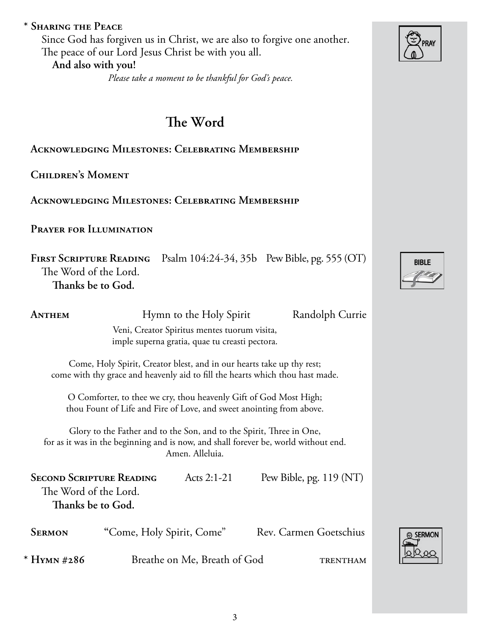|                                                                                                | Prayer for Illumination                                                                                                                      |                                                                                                                                           |                                                                                     |  |  |
|------------------------------------------------------------------------------------------------|----------------------------------------------------------------------------------------------------------------------------------------------|-------------------------------------------------------------------------------------------------------------------------------------------|-------------------------------------------------------------------------------------|--|--|
|                                                                                                | <b>FIRST SCRIPTURE READING</b><br>The Word of the Lord.<br>Thanks be to God.                                                                 |                                                                                                                                           | Psalm 104:24-34, 35b Pew Bible, pg. 555 (OT)                                        |  |  |
| Anthem                                                                                         | Hymn to the Holy Spirit<br>Randolph Currie<br>Veni, Creator Spiritus mentes tuorum visita,<br>imple superna gratia, quae tu creasti pectora. |                                                                                                                                           |                                                                                     |  |  |
|                                                                                                |                                                                                                                                              | Come, Holy Spirit, Creator blest, and in our hearts take up thy rest;                                                                     | come with thy grace and heavenly aid to fill the hearts which thou hast made.       |  |  |
|                                                                                                |                                                                                                                                              | O Comforter, to thee we cry, thou heavenly Gift of God Most High;<br>thou Fount of Life and Fire of Love, and sweet anointing from above. |                                                                                     |  |  |
|                                                                                                |                                                                                                                                              | Glory to the Father and to the Son, and to the Spirit, Three in One,<br>Amen. Alleluia.                                                   | for as it was in the beginning and is now, and shall forever be, world without end. |  |  |
| <b>SECOND SCRIPTURE READING</b><br>Acts $2:1-21$<br>The Word of the Lord.<br>Thanks be to God. |                                                                                                                                              |                                                                                                                                           | Pew Bible, pg. $119 (NT)$                                                           |  |  |
| Sermon                                                                                         | "Come, Holy Spirit, Come"                                                                                                                    |                                                                                                                                           | <b>Rev. Carmen Goetschius</b>                                                       |  |  |

# **\* Sharing the Peace**

Since God has forgiven us in Christ, we are also to forgive one another. The peace of our Lord Jesus Christ be with you all. **And also with you!**

*Please take a moment to be thankful for God's peace.*

# **The Word**

**Acknowledging Milestones: Celebrating Membership**

**Children's Moment** 

**Acknowledging Milestones: Celebrating Membership**

|                                                                                                                                                                                | O Comforter, to thee we cry, thou heavenly Gift of God Most High; |  | thou Fount of Life and Fire of Love, and sweet anointing from above. |  |  |  |
|--------------------------------------------------------------------------------------------------------------------------------------------------------------------------------|-------------------------------------------------------------------|--|----------------------------------------------------------------------|--|--|--|
| Glory to the Father and to the Son, and to the Spirit, Three in One,<br>for as it was in the beginning and is now, and shall forever be, world without end.<br>Amen. Alleluia. |                                                                   |  |                                                                      |  |  |  |
| Pew Bible, pg. $119 (NT)$<br><b>SECOND SCRIPTURE READING</b><br>Acts $2:1-21$<br>The Word of the Lord.<br>Thanks be to God.                                                    |                                                                   |  |                                                                      |  |  |  |
| <b>SERMON</b>                                                                                                                                                                  | "Come, Holy Spirit, Come"                                         |  | Rev. Carmen Goetschius                                               |  |  |  |
| * HYMN #286                                                                                                                                                                    | Breathe on Me, Breath of God                                      |  | TRENTHAM                                                             |  |  |  |





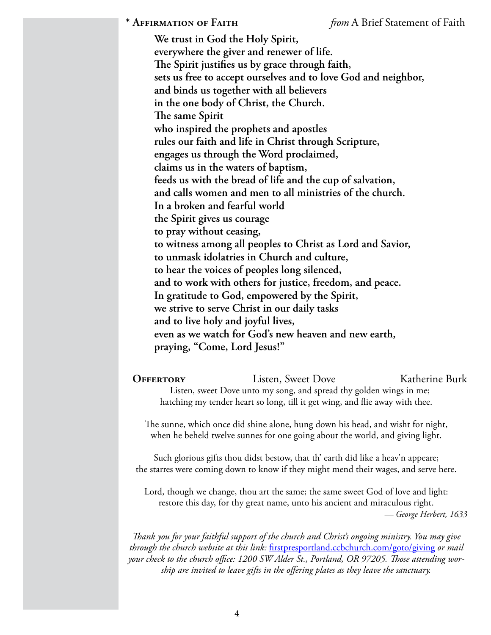**We trust in God the Holy Spirit, everywhere the giver and renewer of life. The Spirit justifies us by grace through faith, sets us free to accept ourselves and to love God and neighbor, and binds us together with all believers in the one body of Christ, the Church. The same Spirit who inspired the prophets and apostles rules our faith and life in Christ through Scripture, engages us through the Word proclaimed, claims us in the waters of baptism, feeds us with the bread of life and the cup of salvation, and calls women and men to all ministries of the church. In a broken and fearful world the Spirit gives us courage to pray without ceasing, to witness among all peoples to Christ as Lord and Savior, to unmask idolatries in Church and culture, to hear the voices of peoples long silenced, and to work with others for justice, freedom, and peace. In gratitude to God, empowered by the Spirit, we strive to serve Christ in our daily tasks and to live holy and joyful lives, even as we watch for God's new heaven and new earth, praying, "Come, Lord Jesus!"**

**OFFERTORY** Listen, Sweet Dove Katherine Burk Listen, sweet Dove unto my song, and spread thy golden wings in me; hatching my tender heart so long, till it get wing, and flie away with thee.

The sunne, which once did shine alone, hung down his head, and wisht for night, when he beheld twelve sunnes for one going about the world, and giving light.

Such glorious gifts thou didst bestow, that th' earth did like a heav'n appeare; the starres were coming down to know if they might mend their wages, and serve here.

Lord, though we change, thou art the same; the same sweet God of love and light: restore this day, for thy great name, unto his ancient and miraculous right. *— George Herbert, 1633*

*Thank you for your faithful support of the church and Christ's ongoing ministry. You may give through the church website at this link:* [firstpresportland.ccbchurch.com/goto/giving](http://firstpresportland.ccbchurch.com/goto/giving) *or mail your check to the church office: 1200 SW Alder St., Portland, OR 97205. Those attending worship are invited to leave gifts in the offering plates as they leave the sanctuary.*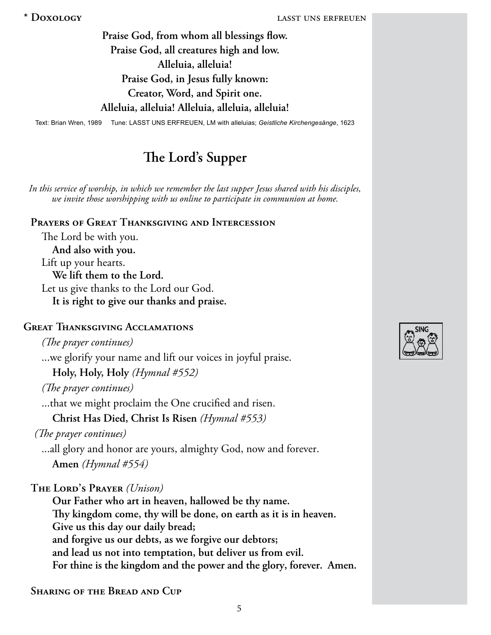**Praise God, from whom all blessings flow. Praise God, all creatures high and low. Alleluia, alleluia! Praise God, in Jesus fully known: Creator, Word, and Spirit one. Alleluia, alleluia! Alleluia, alleluia, alleluia!**

Text: Brian Wren, 1989 Tune: LASST UNS ERFREUEN, LM with alleluias; *Geistliche Kirchengesänge*, 1623

# **The Lord's Supper**

*In this service of worship, in which we remember the last supper Jesus shared with his disciples, we invite those worshipping with us online to participate in communion at home.* 

**Prayers of Great Thanksgiving and Intercession**

The Lord be with you. **And also with you.** Lift up your hearts. **We lift them to the Lord.** Let us give thanks to the Lord our God. **It is right to give our thanks and praise.**

### **Great Thanksgiving Acclamations**

*(The prayer continues)*

...we glorify your name and lift our voices in joyful praise.

**Holy, Holy, Holy** *(Hymnal #552)*

*(The prayer continues)*

...that we might proclaim the One crucified and risen.

**Christ Has Died, Christ Is Risen** *(Hymnal #553)* 

*(The prayer continues)*

...all glory and honor are yours, almighty God, now and forever. **Amen** *(Hymnal #554)*

**The Lord's Prayer** *(Unison)*

**Our Father who art in heaven, hallowed be thy name. Thy kingdom come, thy will be done, on earth as it is in heaven. Give us this day our daily bread; and forgive us our debts, as we forgive our debtors; and lead us not into temptation, but deliver us from evil. For thine is the kingdom and the power and the glory, forever. Amen.**

**Sharing of the Bread and Cup** 

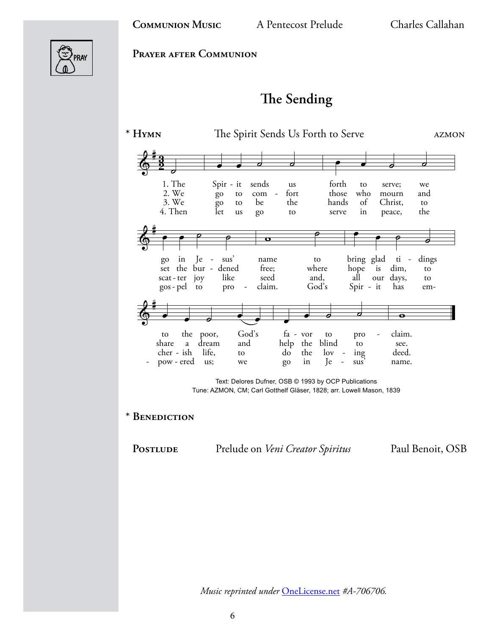

**Prayer after Communion**

# **The Sending**



Text: Delores Dufner, OSB © 1993 by OCP Publications Tune: AZMON, CM; Carl Gotthelf Gläser, 1828; arr. Lowell Mason, 1839

**\* Benediction** 

PostLUDE Prelude on *Veni Creator Spiritus* Paul Benoit, OSB

*Music reprinted under* [OneLicense.net](http://OneLicense.net) *#A-706706.*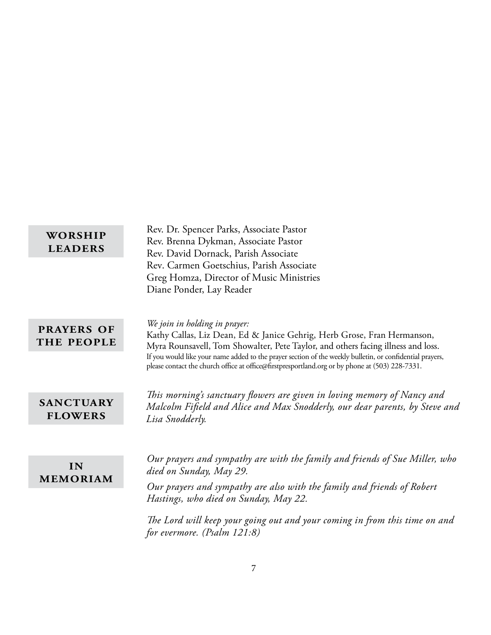| WORSHIP        |  |
|----------------|--|
| <b>LEADERS</b> |  |

Rev. Dr. Spencer Parks, Associate Pastor Rev. Brenna Dykman, Associate Pastor Rev. David Dornack, Parish Associate Rev. Carmen Goetschius, Parish Associate Greg Homza, Director of Music Ministries Diane Ponder, Lay Reader

**prayers of the people** *We join in holding in prayer:* 

Kathy Callas, Liz Dean, Ed & Janice Gehrig, Herb Grose, Fran Hermanson, Myra Rounsavell, Tom Showalter, Pete Taylor, and others facing illness and loss. If you would like your name added to the prayer section of the weekly bulletin, or confidential prayers, please contact the church office at office@firstpresportland.org or by phone at (503) 228-7331.

**sanctuary flowers**

*This morning's sanctuary flowers are given in loving memory of Nancy and Malcolm Fifield and Alice and Max Snodderly, our dear parents, by Steve and Lisa Snodderly.*

**in memoriam** *Our prayers and sympathy are with the family and friends of Sue Miller, who died on Sunday, May 29.* 

*Our prayers and sympathy are also with the family and friends of Robert Hastings, who died on Sunday, May 22.* 

*The Lord will keep your going out and your coming in from this time on and for evermore. (Psalm 121:8)*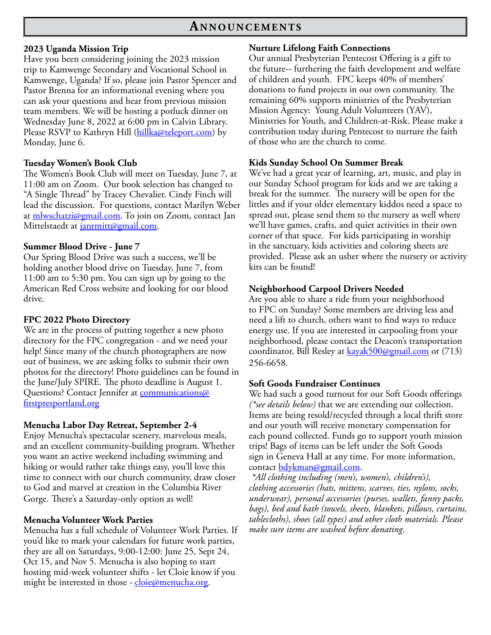#### **2023 Uganda Mission Trip**

Have you been considering joining the 2023 mission trip to Kamwenge Secondary and Vocational School in Kamwenge, Uganda? If so, please join Pastor Spencer and Pastor Brenna for an informational evening where you can ask your questions and hear from previous mission team members. We will be hosting a potluck dinner on Wednesday June 8, 2022 at 6:00 pm in Calvin Library. Please RSVP to Kathryn Hill ([hillka@teleport.com\)](mailto:hillka@teleport.com) by Monday, June 6.

#### **Tuesday Women's Book Club**

The Women's Book Club will meet on Tuesday, June 7, at 11:00 am on Zoom. Our book selection has changed to "A Single Thread" by Tracey Chevalier. Cindy Finch will lead the discussion. For questions, contact Marilyn Weber at [mlwschatzi@gmail.com](mailto:mlwschatzi@gmail.com). To join on Zoom, contact Jan Mittelstaedt at [janrmitt@gmail.com.](mailto:janrmitt@gmail.com)

#### **Summer Blood Drive - June 7**

Our Spring Blood Drive was such a success, we'll be holding another blood drive on Tuesday, June 7, from 11:00 am to 5:30 pm. You can sign up by going to the American Red Cross website and looking for our blood drive.

#### **FPC 2022 Photo Directory**

We are in the process of putting together a new photo directory for the FPC congregation - and we need your help! Since many of the church photographers are now out of business, we are asking folks to submit their own photos for the directory! Photo guidelines can be found in the June/July SPIRE. The photo deadline is August 1. Questions? Contact Jennifer at [communications@](mailto:communications@firstpresportland.org) [firstpresportland.org](mailto:communications@firstpresportland.org)

#### **Menucha Labor Day Retreat, September 2-4**

Enjoy Menucha's spectacular scenery, marvelous meals, and an excellent community-building program. Whether you want an active weekend including swimming and hiking or would rather take things easy, you'll love this time to connect with our church community, draw closer to God and marvel at creation in the Columbia River Gorge. There's a Saturday-only option as well!

#### **Menucha Volunteer Work Parties**

Menucha has a full schedule of Volunteer Work Parties. If you'd like to mark your calendars for future work parties, they are all on Saturdays, 9:00-12:00: June 25, Sept 24, Oct 15, and Nov 5. Menucha is also hoping to start hosting mid-week volunteer shifts - let Cloie know if you might be interested in those - [cloie@menucha.org](mailto:cloie@menucha.org).

#### **Nurture Lifelong Faith Connections**

Our annual Presbyterian Pentecost Offering is a gift to the future-- furthering the faith development and welfare of children and youth. FPC keeps 40% of members' donations to fund projects in our own community. The remaining 60% supports ministries of the Presbyterian Mission Agency: Young Adult Volunteers (YAV), Ministries for Youth, and Children-at-Risk. Please make a contribution today during Pentecost to nurture the faith of those who are the church to come.

#### **Kids Sunday School On Summer Break**

We've had a great year of learning, art, music, and play in our Sunday School program for kids and we are taking a break for the summer. The nursery will be open for the littles and if your older elementary kiddos need a space to spread out, please send them to the nursery as well where we'll have games, crafts, and quiet activities in their own corner of that space. For kids participating in worship in the sanctuary, kids activities and coloring sheets are provided. Please ask an usher where the nursery or activity kits can be found!

#### **Neighborhood Carpool Drivers Needed**

Are you able to share a ride from your neighborhood to FPC on Sunday? Some members are driving less and need a lift to church, others want to find ways to reduce energy use. If you are interested in carpooling from your neighborhood, please contact the Deacon's transportation coordinator, Bill Resley at [kayak500@gmail.com](mailto:kayak500@gmail.com) or (713) 256-6658.

#### **Soft Goods Fundraiser Continues**

We had such a good turnout for our Soft Goods offerings *(\*see details below)* that we are extending our collection. Items are being resold/recycled through a local thrift store and our youth will receive monetary compensation for each pound collected. Funds go to support youth mission trips! Bags of items can be left under the Soft Goods sign in Geneva Hall at any time. For more information, contact <u>bdykman@gmail.com</u>.

*\*All clothing including (men's, women's, children's), clothing accessories (hats, mittens, scarves, ties, nylons, socks, underwear), personal accessories (purses, wallets, fanny packs, bags), bed and bath (towels, sheets, blankets, pillows, curtains, tablecloths), shoes (all types) and other cloth materials. Please make sure items are washed before donating.*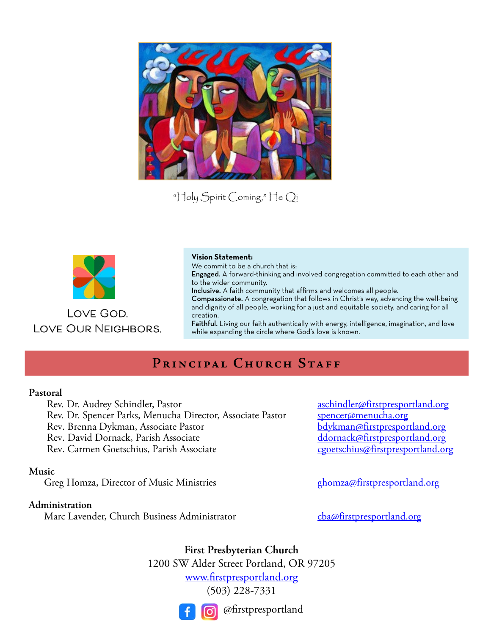

"Holy Spirit Coming," He Qi



**Love God. Love Our Neighbors.**

#### **Vision Statement:**

We commit to be a church that is:

Engaged. A forward-thinking and involved congregation committed to each other and to the wider community.

Inclusive. A faith community that affirms and welcomes all people.

Compassionate. A congregation that follows in Christ's way, advancing the well-being and dignity of all people, working for a just and equitable society, and caring for all creation.

Faithful. Living our faith authentically with energy, intelligence, imagination, and love while expanding the circle where God's love is known.

# PRINCIPAL CHURCH STAFF

#### **Pastoral**

Rev. Dr. Audrey Schindler, Pastor aschindler aschindler affirst presportland.org<br>Rev. Dr. Spencer Parks, Menucha Director, Associate Pastor spencer amenucha.org Rev. Dr. Spencer Parks, Menucha Director, Associate Pastor [spencer@menucha.org](mailto:spencer%40menucha.org?subject=)<br>Rev. Brenna Dykman, Associate Pastor spencer@menucha.org Rev. Brenna Dykman, Associate Pastor [bdykman@firstpresportland.org](mailto:bdykman@firstpresportland.org) Rev. David Dornack, Parish Associate der and the determined the determined of the Rev. Carmen Goetschius, Parish Associate der and the determined of the capacity of the Rev. Carmen Goetschius, Parish Associate der and the Rev. Carmen Goetschius, Parish Associate

#### **Music**

Greg Homza, Director of Music Ministries Greg [ghomza@firstpresportland.org](mailto:ghomza%40firstpresportland.org?subject=)

#### **Administration**

Marc Lavender, Church Business Administrator [cba@firstpresportland.org](mailto:cba%40firstpresportland.org?subject=)

**First Presbyterian Church** 1200 SW Alder Street Portland, OR 97205 [www.firstpresportland.org](http://www.firstpresportland.org)

(503) 228-7331



@firstpresportland